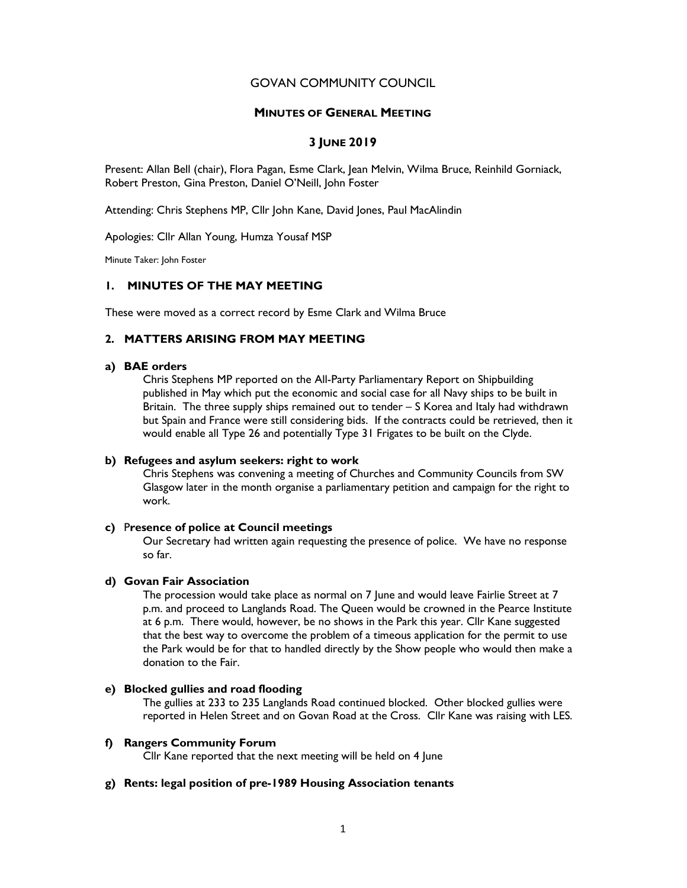## GOVAN COMMUNITY COUNCIL

### MINUTES OF GENERAL MEETING

## 3 JUNE 2019

Present: Allan Bell (chair), Flora Pagan, Esme Clark, Jean Melvin, Wilma Bruce, Reinhild Gorniack, Robert Preston, Gina Preston, Daniel O'Neill, John Foster

Attending: Chris Stephens MP, Cllr John Kane, David Jones, Paul MacAlindin

Apologies: Cllr Allan Young, Humza Yousaf MSP

Minute Taker: John Foster

## 1. MINUTES OF THE MAY MEETING

These were moved as a correct record by Esme Clark and Wilma Bruce

## 2. MATTERS ARISING FROM MAY MEETING

## a) BAE orders

Chris Stephens MP reported on the All-Party Parliamentary Report on Shipbuilding published in May which put the economic and social case for all Navy ships to be built in Britain. The three supply ships remained out to tender – S Korea and Italy had withdrawn but Spain and France were still considering bids. If the contracts could be retrieved, then it would enable all Type 26 and potentially Type 31 Frigates to be built on the Clyde.

## b) Refugees and asylum seekers: right to work

Chris Stephens was convening a meeting of Churches and Community Councils from SW Glasgow later in the month organise a parliamentary petition and campaign for the right to work.

#### c) Presence of police at Council meetings

Our Secretary had written again requesting the presence of police. We have no response so far.

## d) Govan Fair Association

The procession would take place as normal on 7 June and would leave Fairlie Street at 7 p.m. and proceed to Langlands Road. The Queen would be crowned in the Pearce Institute at 6 p.m. There would, however, be no shows in the Park this year. Cllr Kane suggested that the best way to overcome the problem of a timeous application for the permit to use the Park would be for that to handled directly by the Show people who would then make a donation to the Fair.

## e) Blocked gullies and road flooding

The gullies at 233 to 235 Langlands Road continued blocked. Other blocked gullies were reported in Helen Street and on Govan Road at the Cross. Cllr Kane was raising with LES.

#### f) Rangers Community Forum

Cllr Kane reported that the next meeting will be held on 4 June

## g) Rents: legal position of pre-1989 Housing Association tenants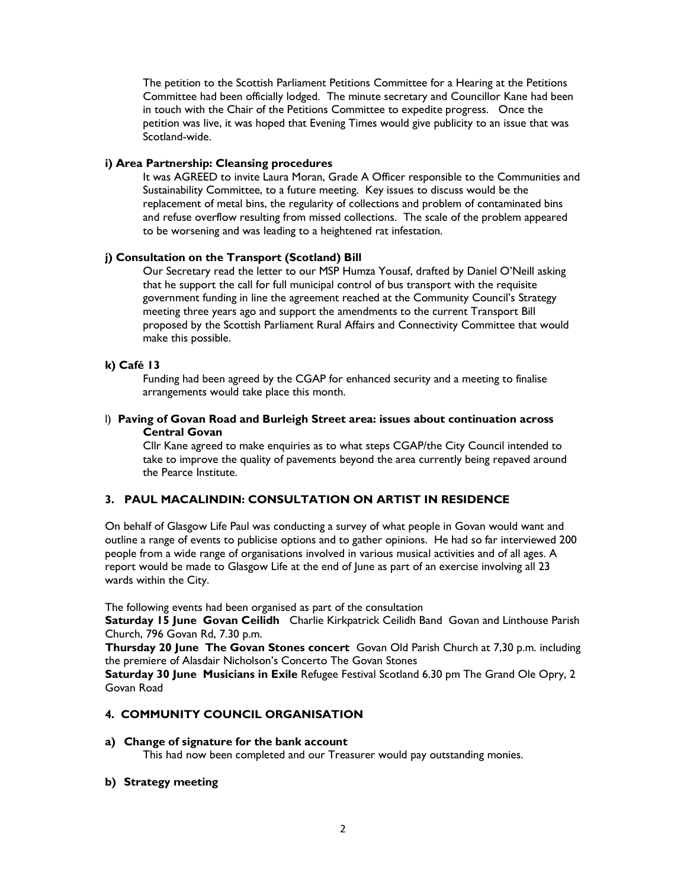The petition to the Scottish Parliament Petitions Committee for a Hearing at the Petitions Committee had been officially lodged. The minute secretary and Councillor Kane had been in touch with the Chair of the Petitions Committee to expedite progress. Once the petition was live, it was hoped that Evening Times would give publicity to an issue that was Scotland-wide.

## i) Area Partnership: Cleansing procedures

It was AGREED to invite Laura Moran, Grade A Officer responsible to the Communities and Sustainability Committee, to a future meeting. Key issues to discuss would be the replacement of metal bins, the regularity of collections and problem of contaminated bins and refuse overflow resulting from missed collections. The scale of the problem appeared to be worsening and was leading to a heightened rat infestation.

## j) Consultation on the Transport (Scotland) Bill

Our Secretary read the letter to our MSP Humza Yousaf, drafted by Daniel O'Neill asking that he support the call for full municipal control of bus transport with the requisite government funding in line the agreement reached at the Community Council's Strategy meeting three years ago and support the amendments to the current Transport Bill proposed by the Scottish Parliament Rural Affairs and Connectivity Committee that would make this possible.

## k) Café 13

Funding had been agreed by the CGAP for enhanced security and a meeting to finalise arrangements would take place this month.

## l) Paving of Govan Road and Burleigh Street area: issues about continuation across Central Govan

Cllr Kane agreed to make enquiries as to what steps CGAP/the City Council intended to take to improve the quality of pavements beyond the area currently being repaved around the Pearce Institute.

# 3. PAUL MACALINDIN: CONSULTATION ON ARTIST IN RESIDENCE

On behalf of Glasgow Life Paul was conducting a survey of what people in Govan would want and outline a range of events to publicise options and to gather opinions. He had so far interviewed 200 people from a wide range of organisations involved in various musical activities and of all ages. A report would be made to Glasgow Life at the end of June as part of an exercise involving all 23 wards within the City.

The following events had been organised as part of the consultation

Saturday 15 June Govan Ceilidh Charlie Kirkpatrick Ceilidh Band Govan and Linthouse Parish Church, 796 Govan Rd, 7.30 p.m.

Thursday 20 June The Govan Stones concert Govan Old Parish Church at 7,30 p.m. including the premiere of Alasdair Nicholson's Concerto The Govan Stones

Saturday 30 June Musicians in Exile Refugee Festival Scotland 6.30 pm The Grand Ole Opry, 2 Govan Road

# 4. COMMUNITY COUNCIL ORGANISATION

## a) Change of signature for the bank account

This had now been completed and our Treasurer would pay outstanding monies.

## b) Strategy meeting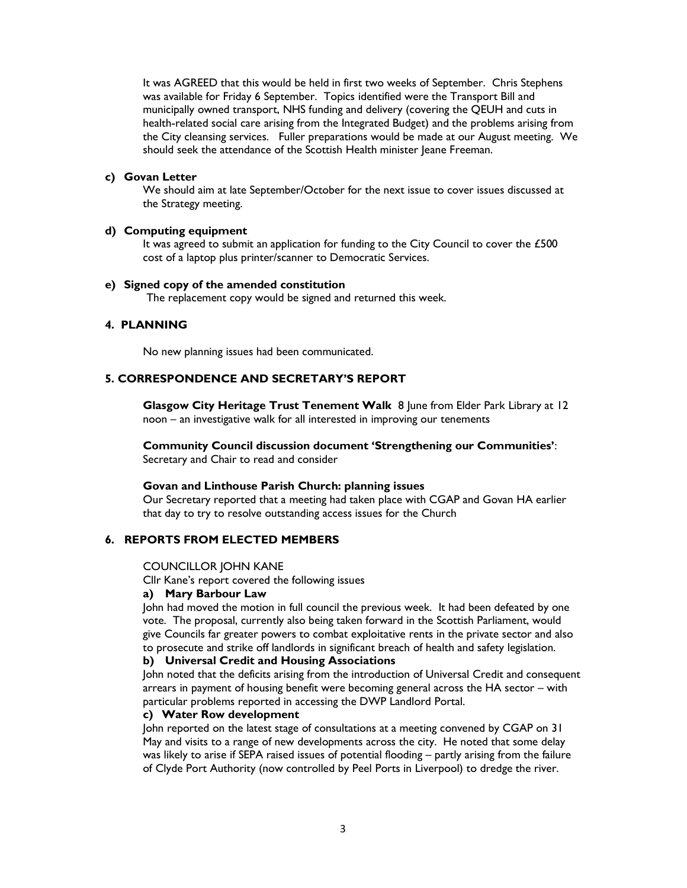It was AGREED that this would be held in first two weeks of September. Chris Stephens was available for Friday 6 September. Topics identified were the Transport Bill and municipally owned transport, NHS funding and delivery (covering the QEUH and cuts in health-related social care arising from the Integrated Budget) and the problems arising from the City cleansing services. Fuller preparations would be made at our August meeting. We should seek the attendance of the Scottish Health minister Jeane Freeman.

#### c) Govan Letter

We should aim at late September/October for the next issue to cover issues discussed at the Strategy meeting.

#### d) Computing equipment

It was agreed to submit an application for funding to the City Council to cover the  $£500$ cost of a laptop plus printer/scanner to Democratic Services.

### e) Signed copy of the amended constitution

The replacement copy would be signed and returned this week.

## 4. PLANNING

No new planning issues had been communicated.

## 5. CORRESPONDENCE AND SECRETARY'S REPORT

 Glasgow City Heritage Trust Tenement Walk 8 June from Elder Park Library at 12 noon – an investigative walk for all interested in improving our tenements

Community Council discussion document 'Strengthening our Communities': Secretary and Chair to read and consider

## Govan and Linthouse Parish Church: planning issues

Our Secretary reported that a meeting had taken place with CGAP and Govan HA earlier that day to try to resolve outstanding access issues for the Church

## 6. REPORTS FROM ELECTED MEMBERS

#### COUNCILLOR JOHN KANE

Cllr Kane's report covered the following issues

### a) Mary Barbour Law

John had moved the motion in full council the previous week. It had been defeated by one vote. The proposal, currently also being taken forward in the Scottish Parliament, would give Councils far greater powers to combat exploitative rents in the private sector and also to prosecute and strike off landlords in significant breach of health and safety legislation.

#### b) Universal Credit and Housing Associations

John noted that the deficits arising from the introduction of Universal Credit and consequent arrears in payment of housing benefit were becoming general across the HA sector – with particular problems reported in accessing the DWP Landlord Portal.

## c) Water Row development

John reported on the latest stage of consultations at a meeting convened by CGAP on 31 May and visits to a range of new developments across the city. He noted that some delay was likely to arise if SEPA raised issues of potential flooding – partly arising from the failure of Clyde Port Authority (now controlled by Peel Ports in Liverpool) to dredge the river.